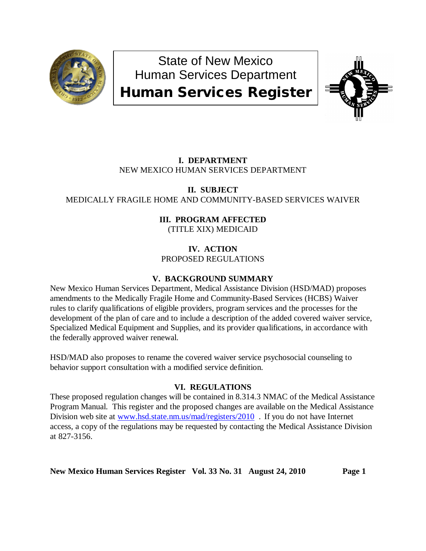

State of New Mexico Human Services Department Human Services Register



# **I. DEPARTMENT** NEW MEXICO HUMAN SERVICES DEPARTMENT

## **II. SUBJECT** MEDICALLY FRAGILE HOME AND COMMUNITY-BASED SERVICES WAIVER

### **III. PROGRAM AFFECTED** (TITLE XIX) MEDICAID

## **IV. ACTION** PROPOSED REGULATIONS

# **V. BACKGROUND SUMMARY**

New Mexico Human Services Department, Medical Assistance Division (HSD/MAD) proposes amendments to the Medically Fragile Home and Community-Based Services (HCBS) Waiver rules to clarify qualifications of eligible providers, program services and the processes for the development of the plan of care and to include a description of the added covered waiver service, Specialized Medical Equipment and Supplies, and its provider qualifications, in accordance with the federally approved waiver renewal.

HSD/MAD also proposes to rename the covered waiver service psychosocial counseling to behavior support consultation with a modified service definition.

# **VI. REGULATIONS**

These proposed regulation changes will be contained in 8.314.3 NMAC of the Medical Assistance Program Manual. This register and the proposed changes are available on the Medical Assistance Division web site at [www.hsd.state.nm.us/mad/registers/2010](http://www.hsd.state.nm.us/mad/registers/2010) . If you do not have Internet access, a copy of the regulations may be requested by contacting the Medical Assistance Division at 827-3156.

**New Mexico Human Services Register Vol. 33 No. 31 August 24, 2010 Page 1**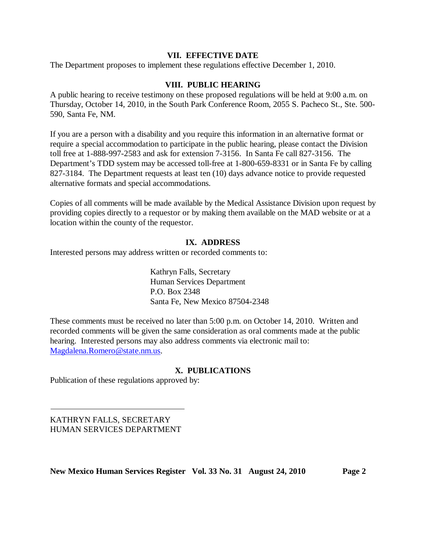### **VII. EFFECTIVE DATE**

The Department proposes to implement these regulations effective December 1, 2010.

### **VIII. PUBLIC HEARING**

A public hearing to receive testimony on these proposed regulations will be held at 9:00 a.m. on Thursday, October 14, 2010, in the South Park Conference Room, 2055 S. Pacheco St., Ste. 500- 590, Santa Fe, NM.

If you are a person with a disability and you require this information in an alternative format or require a special accommodation to participate in the public hearing, please contact the Division toll free at 1-888-997-2583 and ask for extension 7-3156. In Santa Fe call 827-3156. The Department's TDD system may be accessed toll-free at 1-800-659-8331 or in Santa Fe by calling 827-3184. The Department requests at least ten (10) days advance notice to provide requested alternative formats and special accommodations.

Copies of all comments will be made available by the Medical Assistance Division upon request by providing copies directly to a requestor or by making them available on the MAD website or at a location within the county of the requestor.

### **IX. ADDRESS**

Interested persons may address written or recorded comments to:

Kathryn Falls, Secretary Human Services Department P.O. Box 2348 Santa Fe, New Mexico 87504-2348

These comments must be received no later than 5:00 p.m. on October 14, 2010. Written and recorded comments will be given the same consideration as oral comments made at the public hearing. Interested persons may also address comments via electronic mail to: [Magdalena.Romero@state.nm.us.](mailto:Magdalena.Romero@state.nm.us)

### **X. PUBLICATIONS**

Publication of these regulations approved by:

KATHRYN FALLS, SECRETARY HUMAN SERVICES DEPARTMENT

**New Mexico Human Services Register Vol. 33 No. 31 August 24, 2010 Page 2**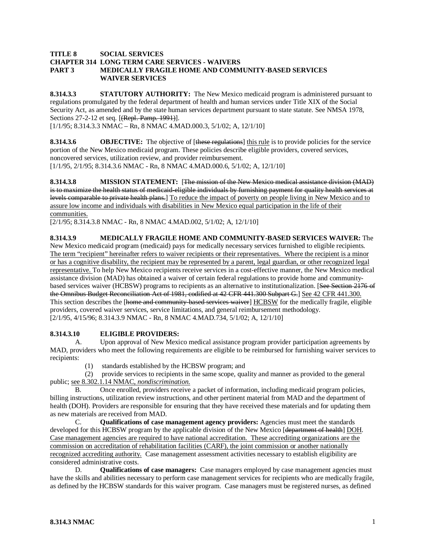#### **TITLE 8 SOCIAL SERVICES CHAPTER 314 LONG TERM CARE SERVICES - WAIVERS PART 3 MEDICALLY FRAGILE HOME AND COMMUNITY-BASED SERVICES WAIVER SERVICES**

**8.314.3.3 STATUTORY AUTHORITY:** The New Mexico medicaid program is administered pursuant to regulations promulgated by the federal department of health and human services under Title XIX of the Social Security Act, as amended and by the state human services department pursuant to state statute. See NMSA 1978, Sections 27-2-12 et seq. [(Repl. Pamp. 1991)].

[1/1/95; 8.314.3.3 NMAC – Rn, 8 NMAC 4.MAD.000.3, 5/1/02; A, 12/1/10]

**8.314.3.6 OBJECTIVE:** The objective of [these regulations] this rule is to provide policies for the service [1/1/95, 2/1/95; 8.314.3.6 NMAC - Rn, 8 NMAC 4.MAD.000.6, 5/1/02; A, 12/1/10] portion of the New Mexico medicaid program. These policies describe eligible providers, covered services, noncovered services, utilization review, and provider reimbursement.

**8.314.3.8 MISSION STATEMENT:** [The mission of the New Mexico medical assistance division (MAD) is to maximize the health status of medicaid eligible individuals by furnishing payment for quality health services at levels comparable to private health plans.] To reduce the impact of poverty on people living in New Mexico and to assure low income and individuals with disabilities in New Mexico equal participation in the life of their communities.

[2/1/95; 8.314.3.8 NMAC - Rn, 8 NMAC 4.MAD.002, 5/1/02; A, 12/1/10]

**8.314.3.9 MEDICALLY FRAGILE HOME AND COMMUNITY-BASED SERVICES WAIVER:** The New Mexico medicaid program (medicaid) pays for medically necessary services furnished to eligible recipients. The term "recipient" hereinafter refers to waiver recipients or their representatives. Where the recipient is a minor or has a cognitive disability, the recipient may be represented by a parent, legal guardian, or other recognized legal representative. To help New Mexico recipients receive services in a cost-effective manner, the New Mexico medical assistance division (MAD) has obtained a waiver of certain federal regulations to provide home and communitybased services waiver (HCBSW) programs to recipients as an alternative to institutionalization. [See Section 2176 of the Omnibus Budget Reconciliation Act of 1981, codified at 42 CFR 441.300 Subpart G.] See 42 CFR 441.300. This section describes the [home and community based services waiver] HCBSW for the medically fragile, eligible [2/1/95, 4/15/96; 8.314.3.9 NMAC - Rn, 8 NMAC 4.MAD.734, 5/1/02; A, 12/1/10] providers, covered waiver services, service limitations, and general reimbursement methodology.

#### **8.314.3.10 ELIGIBLE PROVIDERS:**

A. Upon approval of New Mexico medical assistance program provider participation agreements by MAD, providers who meet the following requirements are eligible to be reimbursed for furnishing waiver services to recipients:

(1) standards established by the HCBSW program; and

 (2) provide services to recipients in the same scope, quality and manner as provided to the general public; see 8.302.1.14 NMAC, *nondiscrimination*.

B. Once enrolled, providers receive a packet of information, including medicaid program policies, billing instructions, utilization review instructions, and other pertinent material from MAD and the department of health (DOH). Providers are responsible for ensuring that they have received these materials and for updating them as new materials are received from MAD.

C. **Qualifications of case management agency providers:** Agencies must meet the standards developed for this HCBSW program by the applicable division of the New Mexico [department of health] DOH. Case management agencies are required to have national accreditation. These accrediting organizations are the commission on accreditation of rehabilitation facilities (CARF), the joint commission or another nationally recognized accrediting authority. Case management assessment activities necessary to establish eligibility are considered administrative costs.

D. **Qualifications of case managers:** Case managers employed by case management agencies must have the skills and abilities necessary to perform case management services for recipients who are medically fragile, as defined by the HCBSW standards for this waiver program. Case managers must be registered nurses, as defined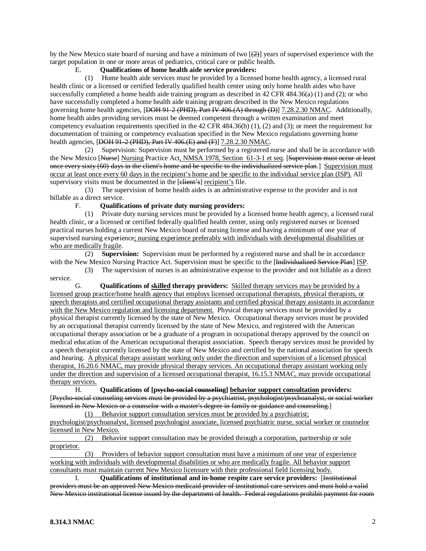by the New Mexico state board of nursing and have a minimum of two  $[2]$  years of supervised experience with the target population in one or more areas of pediatrics, critical care or public health.

#### E. **Qualifications of home health aide service providers:**

 (1) Home health aide services must be provided by a licensed home health agency, a licensed rural health clinic or a licensed or certified federally qualified health center using only home health aides who have successfully completed a home health aide training program as described in 42 CFR 484.36(a) (1) and (2); or who have successfully completed a home health aide training program described in the New Mexico regulations governing home health agencies, [DOH 91-2 (PHD), Part IV 406.(A) through (D)] 7.28.2.30 NMAC. Additionally, home health aides providing services must be deemed competent through a written examination and meet competency evaluation requirements specified in the 42 CFR 484.36(b) (1), (2) and (3); or meet the requirement for documentation of training or competency evaluation specified in the New Mexico regulations governing home health agencies, [DOH 91-2 (PHD), Part IV 406.(E) and (F)] 7.28.2.30 NMAC.

 (2) Supervision: Supervision must be performed by a registered nurse and shall be in accordance with the New Mexico [<del>Nurse</del>] Nursing Practice Act, NMSA 1978, Section 61-3-1 et seq. [Supervision must occur at least once every sixty (60) days in the client's home and be specific to the individualized service plan.] Supervision must occur at least once every 60 days in the recipient's home and be specific to the individual service plan (ISP). All supervisory visits must be documented in the [elient's] recipient's file.

 (3) The supervision of home health aides is an administrative expense to the provider and is not billable as a direct service.

#### F. **Qualifications of private duty nursing providers:**

 (1) Private duty nursing services must be provided by a licensed home health agency, a licensed rural health clinic, or a licensed or certified federally qualified health center, using only registered nurses or licensed practical nurses holding a current New Mexico board of nursing license and having a minimum of one year of supervised nursing experience; nursing experience preferably with individuals with developmental disabilities or who are medically fragile.

 (2) **Supervision:** Supervision must be performed by a registered nurse and shall be in accordance with the New Mexico Nursing Practice Act. Supervision must be specific to the [Individualized Service Plan] ISP.

 (3) The supervision of nurses is an administrative expense to the provider and not billable as a direct service.

G. **Qualifications of skilled therapy providers:** Skilled therapy services may be provided by a licensed group practice/home health agency that employs licensed occupational therapists, physical therapists, or speech therapists and certified occupational therapy assistants and certified physical therapy assistants in accordance with the New Mexico regulation and licensing department. Physical therapy services must be provided by a physical therapist currently licensed by the state of New Mexico. Occupational therapy services must be provided by an occupational therapist currently licensed by the state of New Mexico, and registered with the American occupational therapy association or be a graduate of a program in occupational therapy approved by the council on medical education of the American occupational therapist association. Speech therapy services must be provided by a speech therapist currently licensed by the state of New Mexico and certified by the national association for speech and hearing. A physical therapy assistant working only under the direction and supervision of a licensed physical therapist, 16.20.6 NMAC, may provide physical therapy services. An occupational therapy assistant working only under the direction and supervision of a licensed occupational therapist, 16.15.3 NMAC, may provide occupational therapy services.

H. **Qualifications of [psycho-social counseling] behavior support consultation providers:** [Psycho-social counseling services must be provided by a psychiatrist, psychologist/psychoanalyst, or social worker licensed in New Mexico or a counselor with a master's degree in family or guidance and counseling. ]

(1) Behavior support consultation services must be provided by a psychiatrist; psychologist/psychoanalyst, licensed psychologist associate, licensed psychiatric nurse, social worker or counselor licensed in New Mexico.

 (2) Behavior support consultation may be provided through a corporation, partnership or sole proprietor.

 (3) Providers of behavior support consultation must have a minimum of one year of experience working with individuals with developmental disabilities or who are medically fragile. All behavior support consultants must maintain current New Mexico licensure with their professional field licensing body.

I. **Qualifications of institutional and in-home respite care service providers:** [Institutional providers must be an approved New Mexico medicaid provider of institutional care services and must hold a valid New Mexico institutional license issued by the department of health. Federal regulations prohibit payment for room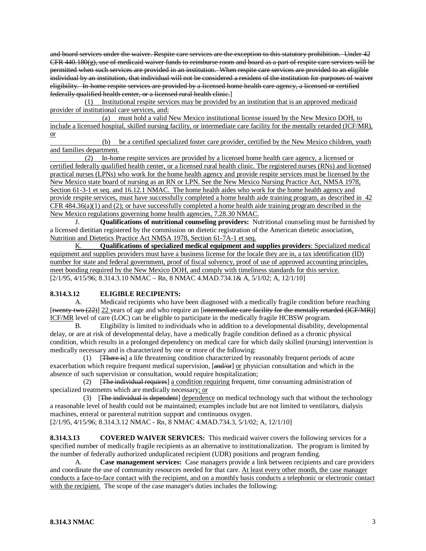and board services under the waiver. Respite care services are the exception to this statutory prohibition. Under 42 CFR 440.180(g), use of medicaid waiver funds to reimburse room and board as a part of respite care services will be permitted when such services are provided in an institution. When respite care services are provided to an eligible individual by an institution, that individual will not be considered a resident of the institution for purposes of waiver eligibility. In-home respite services are provided by a licensed home health care agency, a licensed or certified federally qualified health center, or a licensed rural health clinic. ]

(1) Institutional respite services may be provided by an institution that is an approved medicaid provider of institutional care services, and:

 (a) must hold a valid New Mexico institutional license issued by the New Mexico DOH, to include a licensed hospital, skilled nursing facility, or intermediate care facility for the mentally retarded (ICF/MR), or

 (b) be a certified specialized foster care provider, certified by the New Mexico children, youth and families department.

 (2) In-home respite services are provided by a licensed home health care agency, a licensed or certified federally qualified health center, or a licensed rural health clinic. The registered nurses (RNs) and licensed practical nurses (LPNs) who work for the home health agency and provide respite services must be licensed by the New Mexico state board of nursing as an RN or LPN. See the New Mexico Nursing Practice Act, NMSA 1978, Section 61-3-1 et seq. and 16.12.1 NMAC. The home health aides who work for the home health agency and provide respite services, must have successfully completed a home health aide training program, as described in 42 CFR 484.36(a)(1) and (2); or have successfully completed a home health aide training program described in the New Mexico regulations governing home health agencies, 7.28.30 NMAC.

J. **Qualifications of nutritional counseling providers:** Nutritional counseling must be furnished by a licensed dietitian registered by the commission on dietetic registration of the American dietetic association, Nutrition and Dietetics Practice Act NMSA 1978, Section 61-7A-1 et seq.

[2/1/95, 4/15/96; 8.314.3.10 NMAC – Rn, 8 NMAC 4.MAD.734.1& A, 5/1/02; A, 12/1/10] K. **Qualifications of specialized medical equipment and supplies providers**: Specialized medical equipment and supplies providers must have a business license for the locale they are in, a tax identification (ID) number for state and federal government, proof of fiscal solvency, proof of use of approved accounting principles, meet bonding required by the New Mexico DOH, and comply with timeliness standards for this service.

#### **8.314.3.12 ELIGIBLE RECIPIENTS:**

A. Medicaid recipients who have been diagnosed with a medically fragile condition before reaching [twenty-two (22)] 22 years of age and who require an [intermediate care facility for the mentally retarded (ICF/MR)] ICF/MR level of care (LOC) can be eligible to participate in the medically fragile HCBSW program.

B. Eligibility is limited to individuals who in addition to a developmental disability, developmental delay, or are at risk of developmental delay, have a medically fragile condition defined as a chronic physical condition, which results in a prolonged dependency on medical care for which daily skilled (nursing) intervention is medically necessary and is characterized by one or more of the following:

 (1) [There is] a life threatening condition characterized by reasonably frequent periods of acute exacerbation which require frequent medical supervision, [and/or] or physician consultation and which in the absence of such supervision or consultation, would require hospitalization;

(2) [The individual requires] a condition requiring frequent, time consuming administration of specialized treatments which are medically necessary; or

(3) [The individual is dependent] dependence on medical technology such that without the technology a reasonable level of health could not be maintained; examples include but are not limited to ventilators, dialysis machines, enteral or parenteral nutrition support and continuous oxygen.

[2/1/95, 4/15/96; 8.314.3.12 NMAC - Rn, 8 NMAC 4.MAD.734.3, 5/1/02; A, 12/1/10]

**8.314.3.13 COVERED WAIVER SERVICES:** This medicaid waiver covers the following services for a specified number of medically fragile recipients as an alternative to institutionalization. The program is limited by the number of federally authorized unduplicated recipient (UDR) positions and program funding.

A. **Case management services:** Case managers provide a link between recipients and care providers and coordinate the use of community resources needed for that care. At least every other month, the case manager conducts a face-to-face contact with the recipient, and on a monthly basis conducts a telephonic or electronic contact with the recipient. The scope of the case manager's duties includes the following: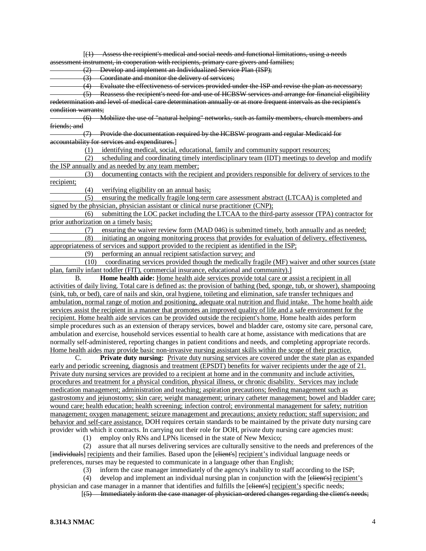[(1) Assess the recipient's medical and social needs and functional limitations, using a needs assessment instrument, in cooperation with recipients, primary care givers and families;

(2) Develop and implement an Individualized Service Plan (ISP);

(3) Coordinate and monitor the delivery of services;

 $\overrightarrow{(4)}$  Evaluate the effectiveness of services provided under the ISP and revise the plan as necessary; (5) Reassess the recipient's need for and use of HCBSW services and arrange for financial eligibility redetermination and level of medical care determination annually or at more frequent intervals as the recipient's

condition warrants;

 (6) Mobilize the use of "natural helping" networks, such as family members, church members and friends; and

 (7) Provide the documentation required by the HCBSW program and regular Medicaid for accountability for services and expenditures. ]

(1) identifying medical, social, educational, family and community support resources;

 (2) scheduling and coordinating timely interdisciplinary team (IDT) meetings to develop and modify the ISP annually and as needed by any team member;

 (3) documenting contacts with the recipient and providers responsible for delivery of services to the recipient;

(4) verifying eligibility on an annual basis;

 (5) ensuring the medically fragile long-term care assessment abstract (LTCAA) is completed and signed by the physician, physician assistant or clinical nurse practitioner (CNP);<br>(6) submitting the LOC packet including the LTCAA to the third-

 (6) submitting the LOC packet including the LTCAA to the third-party assessor (TPA) contractor for prior authorization on a timely basis;

(7) ensuring the waiver review form (MAD 046) is submitted timely, both annually and as needed;<br>(8) initiating an ongoing monitoring process that provides for evaluation of delivery effectiveness.

initiating an ongoing monitoring process that provides for evaluation of delivery, effectiveness, appropriateness of services and support provided to the recipient as identified in the ISP;

(9) performing an annual recipient satisfaction survey; and

 (10) coordinating services provided though the medically fragile (MF) waiver and other sources (state plan, family infant toddler (FIT), commercial insurance, educational and community).]

B. **Home health aide:** Home health aide services provide total care or assist a recipient in all activities of daily living. Total care is defined as: the provision of bathing (bed, sponge, tub, or shower), shampooing (sink, tub, or bed), care of nails and skin, oral hygiene, toileting and elimination, safe transfer techniques and ambulation, normal range of motion and positioning, adequate oral nutrition and fluid intake. The home health aide services assist the recipient in a manner that promotes an improved quality of life and a safe environment for the recipient. Home health aide services can be provided outside the recipient's home. Home health aides perform simple procedures such as an extension of therapy services, bowel and bladder care, ostomy site care, personal care, ambulation and exercise, household services essential to health care at home, assistance with medications that are normally self-administered, reporting changes in patient conditions and needs, and completing appropriate records. Home health aides may provide basic non-invasive nursing assistant skills within the scope of their practice.

C. **Private duty nursing:** Private duty nursing services are covered under the state plan as expanded early and periodic screening, diagnosis and treatment (EPSDT) benefits for waiver recipients under the age of 21. Private duty nursing services are provided to a recipient at home and in the community and include activities, procedures and treatment for a physical condition, physical illness, or chronic disability. Services may include medication management; administration and teaching; aspiration precautions; feeding management such as gastrostomy and jejunostomy; skin care; weight management; urinary catheter management; bowel and bladder care; wound care; health education; health screening; infection control; environmental management for safety; nutrition management; oxygen management; seizure management and precautions; anxiety reduction; staff supervision; and behavior and self-care assistance. DOH requires certain standards to be maintained by the private duty nursing care provider with which it contracts. In carrying out their role for DOH, private duty nursing care agencies must:

(1) employ only RNs and LPNs licensed in the state of New Mexico;

 (2) assure that all nurses delivering services are culturally sensitive to the needs and preferences of the [individuals] recipients and their families. Based upon the [elient's] recipient's individual language needs or preferences, nurses may be requested to communicate in a language other than English;

(3) inform the case manager immediately of the agency's inability to staff according to the ISP;

(4) develop and implement an individual nursing plan in conjunction with the  $[**element's**]$  recipient's physician and case manager in a manner that identifies and fulfills the [elient's] recipient's specific needs;

 $\overline{a}$   $\overline{a}$   $\overline{a}$   $\overline{a}$   $\overline{a}$   $\overline{a}$   $\overline{a}$   $\overline{a}$   $\overline{a}$   $\overline{a}$   $\overline{a}$   $\overline{a}$   $\overline{a}$   $\overline{a}$   $\overline{a}$   $\overline{a}$   $\overline{a}$   $\overline{a}$   $\overline{a}$   $\overline{a}$   $\overline{a}$   $\overline{a}$   $\overline{a}$   $\overline{a}$   $\overline{$  $(5)$  Immediately inform the case manager of physician-ordered changes regarding the client's needs;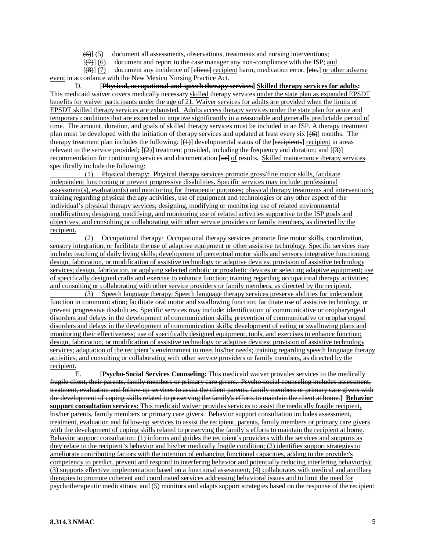$(6)$ ]  $(5)$ document all assessments, observations, treatments and nursing interventions;

 $\overline{a}$  (see Fig. ).  $(\overline{7})$  (6) document and report to the case manager any non-compliance with the ISP; and

 $\overline{a}$  (see Fig. ).  $(8)$ ] (7) document any incidence of [elient] recipient harm, medication error, [ete.] or other adverse event in accordance with the New Mexico Nursing Practice Act.

D. **Physical, occupational and speech therapy services] Skilled therapy services for adults:** This medicaid waiver covers medically necessary skilled therapy services under the state plan as expanded EPSDT benefits for waiver participants under the age of 21. Waiver services for adults are provided when the limits of EPSDT skilled therapy services are exhausted. Adults access therapy services under the state plan for acute and temporary conditions that are expected to improve significantly in a reasonable and generally predictable period of time. The amount, duration, and goals of skilled therapy services must be included in an ISP. A therapy treatment plan must be developed with the initiation of therapy services and updated at least every six [(6)] months. The therapy treatment plan includes the following:  $[\downarrow\downarrow]$  developmental status of the [recipients] recipient in areas relevant to the service provided;  $[ (2) ]$  treatment provided, including the frequency and duration; and  $[ (3) ]$ recommendation for continuing services and documentation [ $\Theta$ +] of results. Skilled maintenance therapy services specifically include the following:

 (1) Physical therapy: Physical therapy services promote gross/fine motor skills, facilitate independent functioning or prevent progressive disabilities. Specific services may include: professional assessment(s), evaluation(s) and monitoring for therapeutic purposes; physical therapy treatments and interventions; training regarding physical therapy activities, use of equipment and technologies or any other aspect of the individual's physical therapy services; designing, modifying or monitoring use of related environmental modifications; designing, modifying, and monitoring use of related activities supportive to the ISP goals and objectives; and consulting or collaborating with other service providers or family members, as directed by the recipient.

 (2) Occupational therapy: Occupational therapy services promote fine motor skills, coordination, sensory integration, or facilitate the use of adaptive equipment or other assistive technology. Specific services may include: teaching of daily living skills; development of perceptual motor skills and sensory integrative functioning; design, fabrication, or modification of assistive technology or adaptive devices; provision of assistive technology services; design, fabrication, or applying selected orthotic or prosthetic devices or selecting adaptive equipment; use of specifically designed crafts and exercise to enhance function; training regarding occupational therapy activities; and consulting or collaborating with other service providers or family members, as directed by the recipient.

 (3) Speech language therapy: Speech language therapy services preserve abilities for independent function in communication; facilitate oral motor and swallowing function; facilitate use of assistive technology, or prevent progressive disabilities. Specific services may include: identification of communicative or oropharyngeal disorders and delays in the development of communication skills; prevention of communicative or oropharyngeal disorders and delays in the development of communication skills; development of eating or swallowing plans and monitoring their effectiveness; use of specifically designed equipment, tools, and exercises to enhance function; design, fabrication, or modification of assistive technology or adaptive devices; provision of assistive technology services; adaptation of the recipient's environment to meet his/her needs; training regarding speech language therapy activities; and consulting or collaborating with other service providers or family members, as directed by the recipient.

 $E.$ **Psycho-Social Services Counseling:** This medicaid waiver provides services to the medically fragile client, their parents, family members or primary care givers. Psycho-social counseling includes assessment, treatment, evaluation and follow-up services to assist the client parents, family members or primary care givers with the development of coping skills related to preserving the family's efforts to maintain the client at home.] **Behavior support consultation services:** This medicaid waiver provides services to assist the medically fragile recipient, his/her parents, family members or primary care givers. Behavior support consultation includes assessment, treatment, evaluation and follow-up services to assist the recipient, parents, family members or primary care givers with the development of coping skills related to preserving the family's efforts to maintain the recipient at home. Behavior support consultation: (1) informs and guides the recipient's providers with the services and supports as they relate to the recipient's behavior and his/her medically fragile condition; (2) identifies support strategies to ameliorate contributing factors with the intention of enhancing functional capacities, adding to the provider's competency to predict, prevent and respond to interfering behavior and potentially reducing interfering behavior(s); (3) supports effective implementation based on a functional assessment; (4) collaborates with medical and ancillary therapies to promote coherent and coordinated services addressing behavioral issues and to limit the need for psychotherapeutic medications; and (5) monitors and adapts support strategies based on the response of the recipient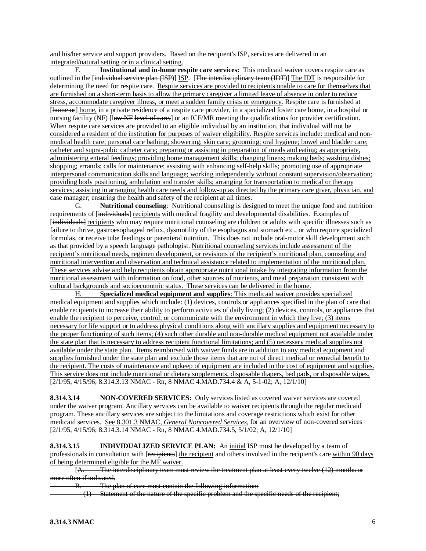and his/her service and support providers. Based on the recipient's ISP, services are delivered in an integrated/natural setting or in a clinical setting.

F. **Institutional and in-home respite care services:** This medicaid waiver covers respite care as outlined in the [individual service plan (ISP)] ISP. [The interdisciplinary team (IDT)] The IDT is responsible for determining the need for respite care. Respite services are provided to recipients unable to care for themselves that are furnished on a short-term basis to allow the primary caregiver a limited leave of absence in order to reduce stress, accommodate caregiver illness, or meet a sudden family crisis or emergency. Respite care is furnished at [home or] home, in a private residence of a respite care provider, in a specialized foster care home, in a hospital or nursing facility (NF) [low NF level of care,] or an ICF/MR meeting the qualifications for provider certification. When respite care services are provided to an eligible individual by an institution, that individual will not be considered a resident of the institution for purposes of waiver eligibility. Respite services include: medical and nonmedical health care; personal care bathing; showering; skin care; grooming; oral hygiene; bowel and bladder care; catheter and supra-pubic catheter care; preparing or assisting in preparation of meals and eating; as appropriate, administering enteral feedings; providing home management skills; changing linens; making beds; washing dishes; shopping; errands; calls for maintenance; assisting with enhancing self-help skills; promoting use of appropriate interpersonal communication skills and language; working independently without constant supervision/observation; providing body positioning, ambulation and transfer skills; arranging for transportation to medical or therapy services; assisting in arranging health care needs and follow-up as directed by the primary care giver, physician, and case manager; ensuring the health and safety of the recipient at all times.

G. **Nutritional counseling**: Nutritional counseling is designed to meet the unique food and nutrition requirements of [individuals] recipients with medical fragility and developmental disabilities. Examples of [individuals] recipients who may require nutritional counseling are children or adults with specific illnesses such as failure to thrive, gastroesophageal reflux, dysmotility of the esophagus and stomach etc., or who require specialized formulas, or receive tube feedings or parenteral nutrition. This does not include oral-motor skill development such as that provided by a speech language pathologist. Nutritional counseling services include assessment of the recipient's nutritional needs, regimen development, or revisions of the recipient's nutritional plan, counseling and nutritional intervention and observation and technical assistance related to implementation of the nutritional plan. These services advise and help recipients obtain appropriate nutritional intake by integrating information from the nutritional assessment with information on food, other sources of nutrients, and meal preparation consistent with cultural backgrounds and socioeconomic status. These services can be delivered in the home.

[2/1/95, 4/15/96; 8.314.3.13 NMAC - Rn, 8 NMAC 4.MAD.734.4 & A, 5-1-02; A, 12/1/10] H. **Specialized medical equipment and supplies**: This medicaid waiver provides specialized medical equipment and supplies which include: (1) devices, controls or appliances specified in the plan of care that enable recipients to increase their ability to perform activities of daily living; (2) devices, controls, or appliances that enable the recipient to perceive, control, or communicate with the environment in which they live; (3) items necessary for life support or to address physical conditions along with ancillary supplies and equipment necessary to the proper functioning of such items; (4) such other durable and non-durable medical equipment not available under the state plan that is necessary to address recipient functional limitations; and (5) necessary medical supplies not available under the state plan. Items reimbursed with waiver funds are in addition to any medical equipment and supplies furnished under the state plan and exclude those items that are not of direct medical or remedial benefit to the recipient. The costs of maintenance and upkeep of equipment are included in the cost of equipment and supplies. This service does not include nutritional or dietary supplements, disposable diapers, bed pads, or disposable wipes.

**8.314.3.14 NON-COVERED SERVICES:** Only services listed as covered waiver services are covered under the waiver program. Ancillary services can be available to waiver recipients through the regular medicaid program. These ancillary services are subject to the limitations and coverage restrictions which exist for other medicaid services. See 8.301.3 NMAC, *General Noncovered Services*, for an overview of non-covered services [2/1/95, 4/15/96; 8.314.3.14 NMAC - Rn, 8 NMAC 4.MAD.734.5, 5/1/02; A, 12/1/10]

**8.314.3.15 INDIVIDUALIZED SERVICE PLAN:** An initial ISP must be developed by a team of professionals in consultation with [recipients] the recipient and others involved in the recipient's care within 90 days of being determined eligible for the MF waiver.

 $[A,$ The interdisciplinary team must review the treatment plan at least every twelve (12) months or more often if indicated.

B. The plan of care must contain the following information:

(1) Statement of the nature of the specific problem and the specific needs of the recipient;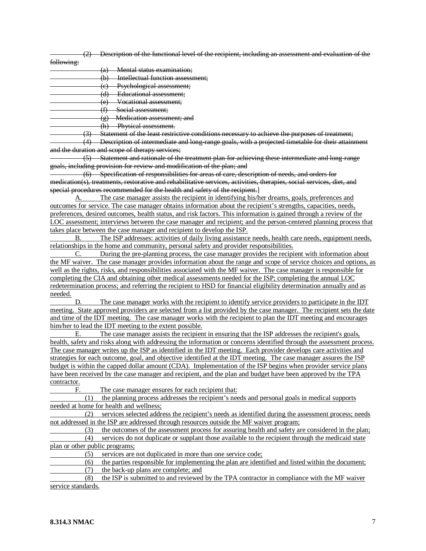(2) Description of the functional level of the recipient, including an assessment and evaluation of the

following:

(a) Mental status examination;

- (b) Intellectual function assessment;
- (c) Psychological assessment;
- (d) Educational assessment;
- (e) Vocational assessment;
- (f) Social assessment;
- (g) Medication assessment; and

(h) Physical assessment.

(3) Statement of the least restrictive conditions necessary to achieve the purposes of treatment;

 (4) Description of intermediate and long-range goals, with a projected timetable for their attainment and the duration and scope of therapy services;

 (5) Statement and rationale of the treatment plan for achieving these intermediate and long-range goals, including provision for review and modification of the plan; and

 (6) Specification of responsibilities for areas of care, description of needs, and orders for medication(s), treatments, restorative and rehabilitative services, activities, therapies, social services, diet, and special procedures recommended for the health and safety of the recipient.]

A. The case manager assists the recipient in identifying his/her dreams, goals, preferences and outcomes for service. The case manager obtains information about the recipient's strengths, capacities, needs, preferences, desired outcomes, health status, and risk factors. This information is gained through a review of the LOC assessment; interviews between the case manager and recipient; and the person-centered planning process that takes place between the case manager and recipient to develop the ISP.<br>B. The ISP addresses: activities of daily living assistance

The ISP addresses: activities of daily living assistance needs, health care needs, equipment needs, relationships in the home and community, personal safety and provider responsibilities.

C. During the pre-planning process, the case manager provides the recipient with information about the MF waiver. The case manager provides information about the range and scope of service choices and options, as well as the rights, risks, and responsibilities associated with the MF waiver. The case manager is responsible for completing the CIA and obtaining other medical assessments needed for the ISP; completing the annual LOC redetermination process; and referring the recipient to HSD for financial eligibility determination annually and as needed.

D. The case manager works with the recipient to identify service providers to participate in the IDT meeting. State approved providers are selected from a list provided by the case manager. The recipient sets the date and time of the IDT meeting. The case manager works with the recipient to plan the IDT meeting and encourages him/her to lead the IDT meeting to the extent possible.<br>E. The case manager assists the recipien

The case manager assists the recipient in ensuring that the ISP addresses the recipient's goals, health, safety and risks along with addressing the information or concerns identified through the assessment process. The case manager writes up the ISP as identified in the IDT meeting. Each provider develops care activities and strategies for each outcome, goal, and objective identified at the IDT meeting. The case manager assures the ISP budget is within the capped dollar amount (CDA). Implementation of the ISP begins when provider service plans have been received by the case manager and recipient, and the plan and budget have been approved by the TPA contractor.

F. The case manager ensures for each recipient that:

 (1) the planning process addresses the recipient's needs and personal goals in medical supports needed at home for health and wellness;

 (2) services selected address the recipient's needs as identified during the assessment process; needs not addressed in the ISP are addressed through resources outside the MF waiver program;

 (3) the outcomes of the assessment process for assuring health and safety are considered in the plan; (4) services do not duplicate or supplant those available to the recipient through the medicaid state plan or other public programs;

(5) services are not duplicated in more than one service code;

 (6) the parties responsible for implementing the plan are identified and listed within the document; (7) the back-up plans are complete; and

 (8) the ISP is submitted to and reviewed by the TPA contractor in compliance with the MF waiver service standards.